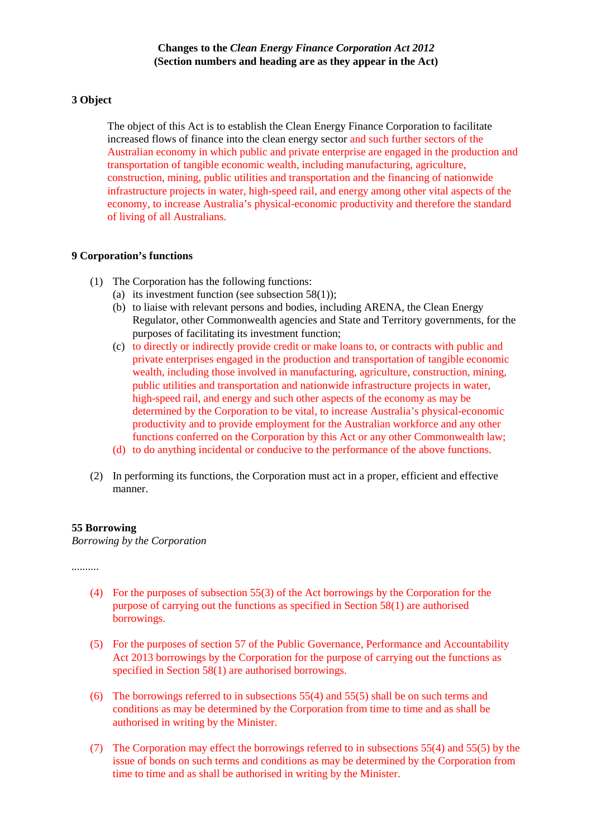#### **3 Object**

The object of this Act is to establish the Clean Energy Finance Corporation to facilitate increased flows of finance into the clean energy sector and such further sectors of the Australian economy in which public and private enterprise are engaged in the production and transportation of tangible economic wealth, including manufacturing, agriculture, construction, mining, public utilities and transportation and the financing of nationwide infrastructure projects in water, high-speed rail, and energy among other vital aspects of the economy, to increase Australia's physical-economic productivity and therefore the standard of living of all Australians.

#### **9 Corporation's functions**

- (1) The Corporation has the following functions:
	- (a) its investment function (see subsection  $58(1)$ );
	- (b) to liaise with relevant persons and bodies, including ARENA, the Clean Energy Regulator, other Commonwealth agencies and State and Territory governments, for the purposes of facilitating its investment function;
	- (c) to directly or indirectly provide credit or make loans to, or contracts with public and private enterprises engaged in the production and transportation of tangible economic wealth, including those involved in manufacturing, agriculture, construction, mining, public utilities and transportation and nationwide infrastructure projects in water, high-speed rail, and energy and such other aspects of the economy as may be determined by the Corporation to be vital, to increase Australia's physical-economic productivity and to provide employment for the Australian workforce and any other functions conferred on the Corporation by this Act or any other Commonwealth law;
	- (d) to do anything incidental or conducive to the performance of the above functions.
- (2) In performing its functions, the Corporation must act in a proper, efficient and effective manner.

#### **55 Borrowing**

*Borrowing by the Corporation*

*..........*

- (4) For the purposes of subsection 55(3) of the Act borrowings by the Corporation for the purpose of carrying out the functions as specified in Section 58(1) are authorised borrowings.
- (5) For the purposes of section 57 of the Public Governance, Performance and Accountability Act 2013 borrowings by the Corporation for the purpose of carrying out the functions as specified in Section 58(1) are authorised borrowings.
- (6) The borrowings referred to in subsections 55(4) and 55(5) shall be on such terms and conditions as may be determined by the Corporation from time to time and as shall be authorised in writing by the Minister.
- (7) The Corporation may effect the borrowings referred to in subsections 55(4) and 55(5) by the issue of bonds on such terms and conditions as may be determined by the Corporation from time to time and as shall be authorised in writing by the Minister.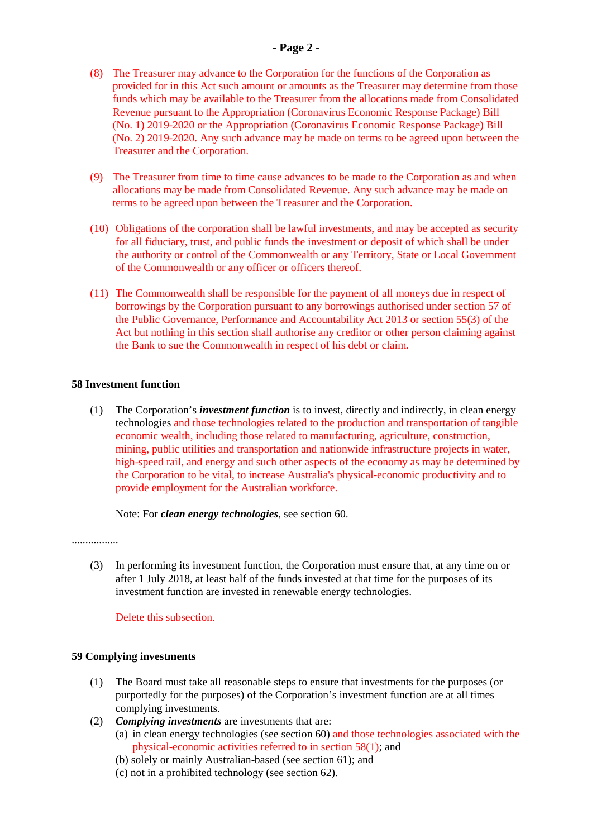# **- Page 2 -**

- (8) The Treasurer may advance to the Corporation for the functions of the Corporation as provided for in this Act such amount or amounts as the Treasurer may determine from those funds which may be available to the Treasurer from the allocations made from Consolidated Revenue pursuant to the Appropriation (Coronavirus Economic Response Package) Bill (No. 1) 2019-2020 or the Appropriation (Coronavirus Economic Response Package) Bill (No. 2) 2019-2020. Any such advance may be made on terms to be agreed upon between the Treasurer and the Corporation.
- (9) The Treasurer from time to time cause advances to be made to the Corporation as and when allocations may be made from Consolidated Revenue. Any such advance may be made on terms to be agreed upon between the Treasurer and the Corporation.
- (10) Obligations of the corporation shall be lawful investments, and may be accepted as security for all fiduciary, trust, and public funds the investment or deposit of which shall be under the authority or control of the Commonwealth or any Territory, State or Local Government of the Commonwealth or any officer or officers thereof.
- (11) The Commonwealth shall be responsible for the payment of all moneys due in respect of borrowings by the Corporation pursuant to any borrowings authorised under section 57 of the Public Governance, Performance and Accountability Act 2013 or section 55(3) of the Act but nothing in this section shall authorise any creditor or other person claiming against the Bank to sue the Commonwealth in respect of his debt or claim.

#### **58 Investment function**

(1) The Corporation's *investment function* is to invest, directly and indirectly, in clean energy technologies and those technologies related to the production and transportation of tangible economic wealth, including those related to manufacturing, agriculture, construction, mining, public utilities and transportation and nationwide infrastructure projects in water, high-speed rail, and energy and such other aspects of the economy as may be determined by the Corporation to be vital, to increase Australia's physical-economic productivity and to provide employment for the Australian workforce.

Note: For *clean energy technologies*, see section 60.

.................

(3) In performing its investment function, the Corporation must ensure that, at any time on or after 1 July 2018, at least half of the funds invested at that time for the purposes of its investment function are invested in renewable energy technologies.

Delete this subsection.

# **59 Complying investments**

- (1) The Board must take all reasonable steps to ensure that investments for the purposes (or purportedly for the purposes) of the Corporation's investment function are at all times complying investments.
- (2) *Complying investments* are investments that are:
	- (a) in clean energy technologies (see section 60) and those technologies associated with the physical-economic activities referred to in section 58(1); and
	- (b) solely or mainly Australian-based (see section 61); and
	- (c) not in a prohibited technology (see section 62).